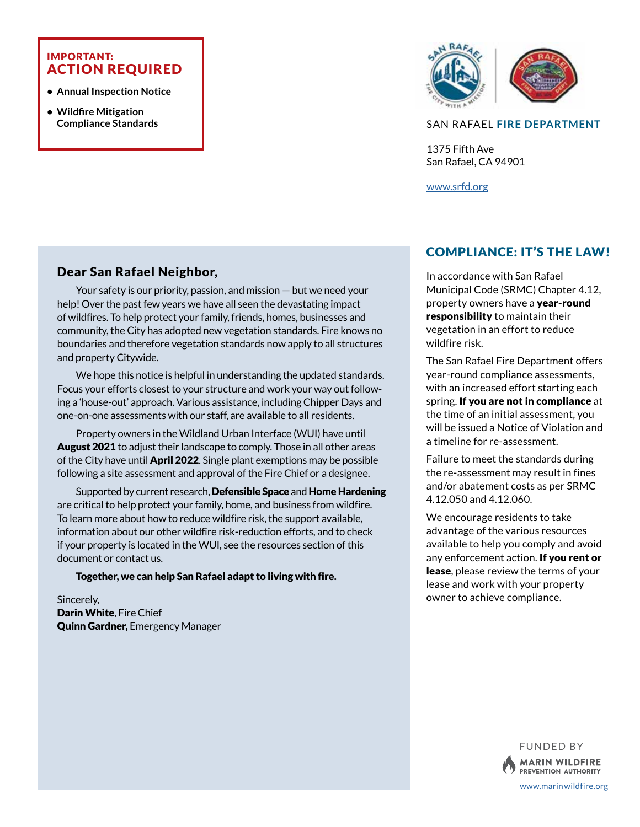#### IMPORTANT: ACTION REQUIRED

- **Annual Inspection Notice**
- **Wildfire Mitigation Compliance Standards**



#### SAN RAFAEL **FIRE DEPARTMENT**

1375 Fifth Ave San Rafael, CA 94901

[www.srfd.org](http://www.srfd.org)

## Dear San Rafael Neighbor,

Your safety is our priority, passion, and mission — but we need your help! Over the past few years we have all seen the devastating impact of wildfires. To help protect your family, friends, homes, businesses and community, the City has adopted new vegetation standards. Fire knows no boundaries and therefore vegetation standards now apply to all structures and property Citywide.

We hope this notice is helpful in understanding the updated standards. Focus your efforts closest to your structure and work your way out following a 'house-out' approach. Various assistance, including Chipper Days and one-on-one assessments with our staff, are available to all residents.

Property owners in the Wildland Urban Interface (WUI) have until August 2021 to adjust their landscape to comply. Those in all other areas of the City have until **April 2022**. Single plant exemptions may be possible following a site assessment and approval of the Fire Chief or a designee.

Supported by current research, Defensible Space and Home Hardening are critical to help protect your family, home, and business from wildfire. To learn more about how to reduce wildfire risk, the support available, information about our other wildfire risk-reduction efforts, and to check if your property is located in the WUI, see the resources section of this document or contact us.

Together, we can help San Rafael adapt to living with fire.

Sincerely, Darin White, Fire Chief Quinn Gardner, Emergency Manager

## COMPLIANCE: IT'S THE LAW!

In accordance with San Rafael Municipal Code (SRMC) Chapter 4.12, property owners have a year-round responsibility to maintain their vegetation in an effort to reduce wildfire risk.

The San Rafael Fire Department offers year-round compliance assessments, with an increased effort starting each spring. If you are not in compliance at the time of an initial assessment, you will be issued a Notice of Violation and a timeline for re-assessment.

Failure to meet the standards during the re-assessment may result in fines and/or abatement costs as per SRMC 4.12.050 and 4.12.060.

We encourage residents to take advantage of the various resources available to help you comply and avoid any enforcement action. If you rent or lease, please review the terms of your lease and work with your property owner to achieve compliance.



[www.marinwildfire.org](https://www.marinwildfire.org)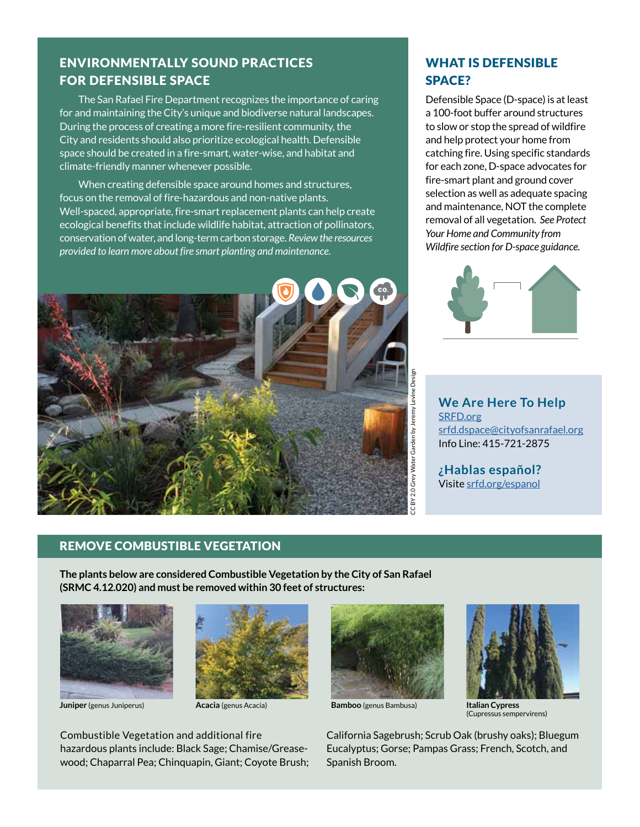# ENVIRONMENTALLY SOUND PRACTICES FOR DEFENSIBLE SPACE

The San Rafael Fire Department recognizes the importance of caring for and maintaining the City's unique and biodiverse natural landscapes. During the process of creating a more fire-resilient community, the City and residents should also prioritize ecological health. Defensible space should be created in a fire-smart, water-wise, and habitat and climate-friendly manner whenever possible.

When creating defensible space around homes and structures, focus on the removal of fire-hazardous and non-native plants. Well-spaced, appropriate, fire-smart replacement plants can help create ecological benefits that include wildlife habitat, attraction of pollinators, conservation of water, and long-term carbon storage. *Review the resources provided to learn more about fire smart planting and maintenance.*



# WHAT IS DEFENSIBLE SPACE?

Defensible Space (D-space) is at least a 100-foot buffer around structures to slow or stop the spread of wildfire and help protect your home from catching fire. Using specific standards for each zone, D-space advocates for fire-smart plant and ground cover selection as well as adequate spacing and maintenance, NOT the complete removal of all vegetation. *See Protect Your Home and Community from Wildfire section for D-space guidance.*



**We Are Here To Help** [SRFD.org](http://www.srfd.org) [srfd.dspace@cityofsanrafael.org](mailto:srfd.dspace%40cityofsanrafael.org?subject=) Info Line: 415-721-2875

**¿Hablas español?** Visite [srfd.org/espanol](https://www.cityofsanrafael.org/espanol)

#### REMOVE COMBUSTIBLE VEGETATION

**The plants below are considered Combustible Vegetation by the City of San Rafael (SRMC 4.12.020) and must be removed within 30 feet of structures:**



**Juniper** (genus Juniperus) **Acacia** (genus Acacia) **Bamboo** (genus Bambusa)



Combustible Vegetation and additional fire hazardous plants include: Black Sage; Chamise/Greasewood; Chaparral Pea; Chinquapin, Giant; Coyote Brush;





**Italian Cypress**  (Cupressus sempervirens)

California Sagebrush; Scrub Oak (brushy oaks); Bluegum Eucalyptus; Gorse; Pampas Grass; French, Scotch, and Spanish Broom.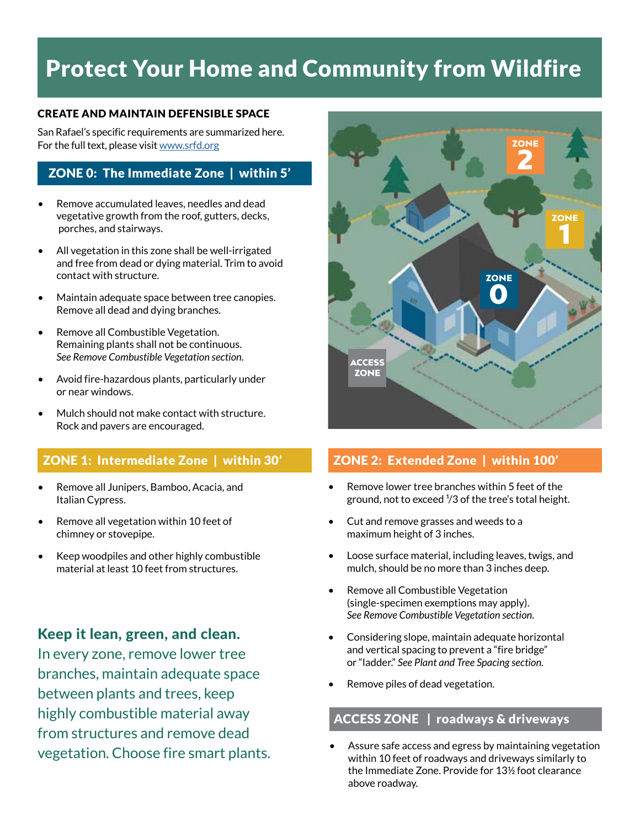# Protect Your Home and Community from Wildfire

#### CREATE AND MAINTAIN DEFENSIBLE SPACE

San Rafael's specific requirements are summarized here. For the full text, please visit [www.srfd.org](http://www.srfd.org)

### ZONE 0: The Immediate Zone | within 5'

- Remove accumulated leaves, needles and dead vegetative growth from the roof, gutters, decks, porches, and stairways.
- All vegetation in this zone shall be well-irrigated and free from dead or dying material. Trim to avoid contact with structure.
- Maintain adequate space between tree canopies. Remove all dead and dying branches.
- Remove all Combustible Vegetation. Remaining plants shall not be continuous. *See Remove Combustible Vegetation section.*
- Avoid fire-hazardous plants, particularly under or near windows.
- Mulch should not make contact with structure. Rock and pavers are encouraged.

# ZONE 1: Intermediate Zone | within 30'

- Remove all Junipers, Bamboo, Acacia, and Italian Cypress.
- Remove all vegetation within 10 feet of chimney or stovepipe.
- Keep woodpiles and other highly combustible material at least 10 feet from structures.

# Keep it lean, green, and clean.

In every zone, remove lower tree branches, maintain adequate space between plants and trees, keep highly combustible material away from structures and remove dead vegetation. Choose fire smart plants.



# ZONE 2: Extended Zone | within 100'

- Remove lower tree branches within 5 feet of the ground, not to exceed  $\frac{1}{3}$  of the tree's total height.
- Cut and remove grasses and weeds to a maximum height of 3 inches.
- Loose surface material, including leaves, twigs, and mulch, should be no more than 3 inches deep.
- Remove all Combustible Vegetation (single-specimen exemptions may apply). *See Remove Combustible Vegetation section.*
- Considering slope, maintain adequate horizontal and vertical spacing to prevent a "fire bridge" or "ladder." *See Plant and Tree Spacing section.*
- Remove piles of dead vegetation.

## ACCESS ZONE | roadways & driveways

• Assure safe access and egress by maintaining vegetation within 10 feet of roadways and driveways similarly to the Immediate Zone. Provide for 13½ foot clearance above roadway.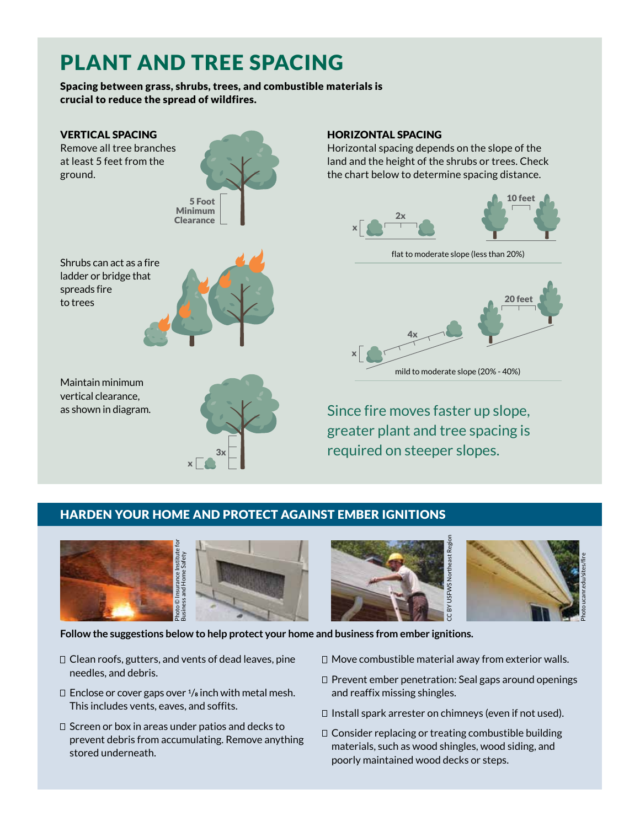# PLANT AND TREE SPACING

#### Spacing between grass, shrubs, trees, and combustible materials is crucial to reduce the spread of wildfires.



## HARDEN YOUR HOME AND PROTECT AGAINST EMBER IGNITIONS





**Follow the suggestions below to help protect your home and business from ember ignitions.**

- $\Box$  Clean roofs, gutters, and vents of dead leaves, pine needles, and debris.
- $\Box$  Enclose or cover gaps over  $\frac{1}{8}$  inch with metal mesh. This includes vents, eaves, and soffits.
- $\Box$  Screen or box in areas under patios and decks to prevent debris from accumulating. Remove anything stored underneath.



 $\Box$  Move combustible material away from exterior walls.

CC BY USFWS Northeast Region

š

- $\Box$  Prevent ember penetration: Seal gaps around openings and reaffix missing shingles.
- $\Box$  Install spark arrester on chimneys (even if not used).
- $\Box$  Consider replacing or treating combustible building materials, such as wood shingles, wood siding, and poorly maintained wood decks or steps.